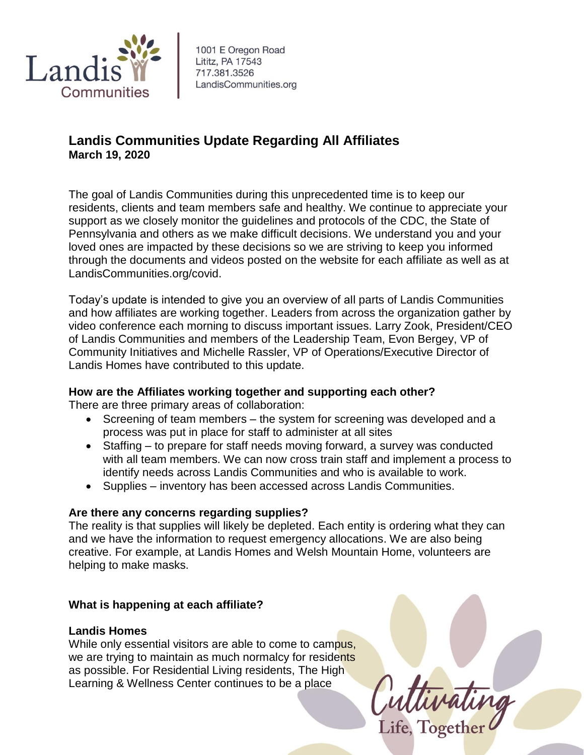

1001 E Oregon Road Lititz, PA 17543 717.381.3526 LandisCommunities.org

# **Landis Communities Update Regarding All Affiliates March 19, 2020**

The goal of Landis Communities during this unprecedented time is to keep our residents, clients and team members safe and healthy. We continue to appreciate your support as we closely monitor the guidelines and protocols of the CDC, the State of Pennsylvania and others as we make difficult decisions. We understand you and your loved ones are impacted by these decisions so we are striving to keep you informed through the documents and videos posted on the website for each affiliate as well as at LandisCommunities.org/covid.

Today's update is intended to give you an overview of all parts of Landis Communities and how affiliates are working together. Leaders from across the organization gather by video conference each morning to discuss important issues. Larry Zook, President/CEO of Landis Communities and members of the Leadership Team, Evon Bergey, VP of Community Initiatives and Michelle Rassler, VP of Operations/Executive Director of Landis Homes have contributed to this update.

## **How are the Affiliates working together and supporting each other?**

There are three primary areas of collaboration:

- Screening of team members the system for screening was developed and a process was put in place for staff to administer at all sites
- Staffing to prepare for staff needs moving forward, a survey was conducted with all team members. We can now cross train staff and implement a process to identify needs across Landis Communities and who is available to work.
- Supplies inventory has been accessed across Landis Communities.

## **Are there any concerns regarding supplies?**

The reality is that supplies will likely be depleted. Each entity is ordering what they can and we have the information to request emergency allocations. We are also being creative. For example, at Landis Homes and Welsh Mountain Home, volunteers are helping to make masks.

## **What is happening at each affiliate?**

## **Landis Homes**

While only essential visitors are able to come to campus, we are trying to maintain as much normalcy for residents as possible. For Residential Living residents, The High Learning & Wellness Center continues to be a place

Cuttivating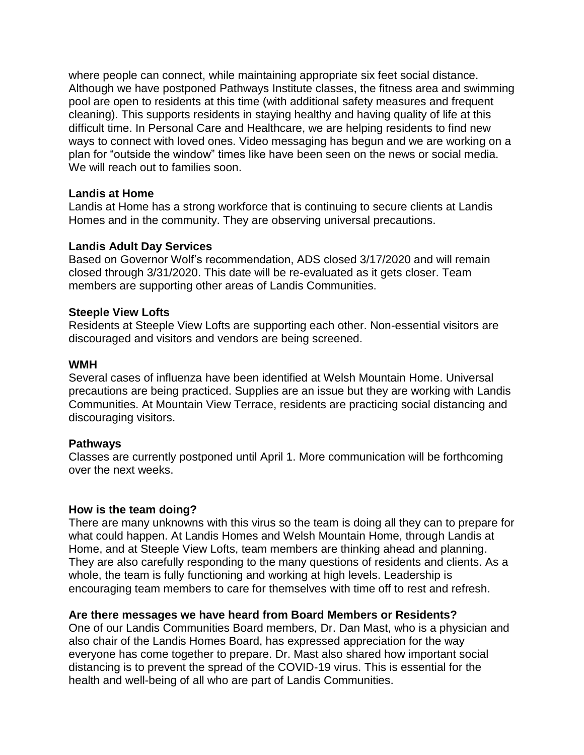where people can connect, while maintaining appropriate six feet social distance. Although we have postponed Pathways Institute classes, the fitness area and swimming pool are open to residents at this time (with additional safety measures and frequent cleaning). This supports residents in staying healthy and having quality of life at this difficult time. In Personal Care and Healthcare, we are helping residents to find new ways to connect with loved ones. Video messaging has begun and we are working on a plan for "outside the window" times like have been seen on the news or social media. We will reach out to families soon.

#### **Landis at Home**

Landis at Home has a strong workforce that is continuing to secure clients at Landis Homes and in the community. They are observing universal precautions.

## **Landis Adult Day Services**

Based on Governor Wolf's recommendation, ADS closed 3/17/2020 and will remain closed through 3/31/2020. This date will be re-evaluated as it gets closer. Team members are supporting other areas of Landis Communities.

#### **Steeple View Lofts**

Residents at Steeple View Lofts are supporting each other. Non-essential visitors are discouraged and visitors and vendors are being screened.

#### **WMH**

Several cases of influenza have been identified at Welsh Mountain Home. Universal precautions are being practiced. Supplies are an issue but they are working with Landis Communities. At Mountain View Terrace, residents are practicing social distancing and discouraging visitors.

#### **Pathways**

Classes are currently postponed until April 1. More communication will be forthcoming over the next weeks.

#### **How is the team doing?**

There are many unknowns with this virus so the team is doing all they can to prepare for what could happen. At Landis Homes and Welsh Mountain Home, through Landis at Home, and at Steeple View Lofts, team members are thinking ahead and planning. They are also carefully responding to the many questions of residents and clients. As a whole, the team is fully functioning and working at high levels. Leadership is encouraging team members to care for themselves with time off to rest and refresh.

#### **Are there messages we have heard from Board Members or Residents?**

One of our Landis Communities Board members, Dr. Dan Mast, who is a physician and also chair of the Landis Homes Board, has expressed appreciation for the way everyone has come together to prepare. Dr. Mast also shared how important social distancing is to prevent the spread of the COVID-19 virus. This is essential for the health and well-being of all who are part of Landis Communities.